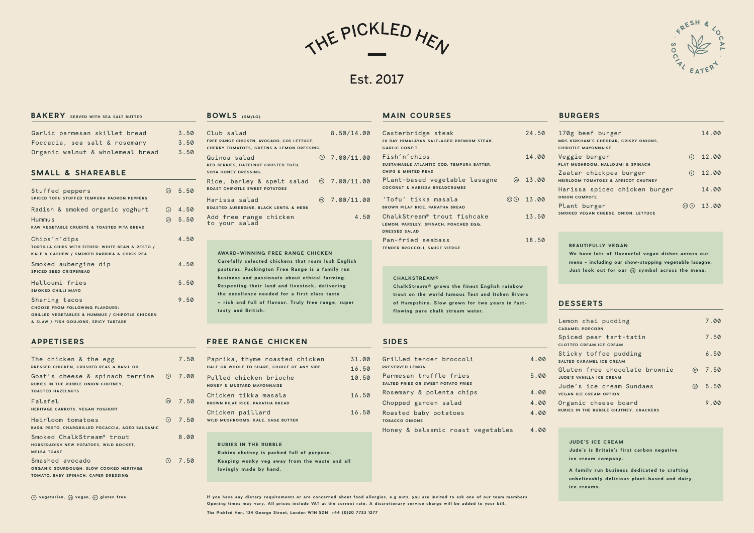THE PICKLED HEN

Est. 2017

## **BAKERY** SERVED WITH SEA SALT BUTTER

| Stuffed peppers<br>SPICED TOFU STUFFED TEMPURA PADRÓN PEPPERS                                                                                                | $(v_0)$ 5.50        |
|--------------------------------------------------------------------------------------------------------------------------------------------------------------|---------------------|
| Radish & smoked organic yoghurt                                                                                                                              | $\odot$ 4.50        |
| <b>Hummus</b><br>RAW VEGETABLE CRUDITÉ & TOASTED PITA BREAD                                                                                                  | $\circledcirc$ 5.50 |
| Chips'n'dips<br>TORTILLA CHIPS WITH EITHER: WHITE BEAN & PESTO /<br>KALE & CASHEW / SMOKED PAPRIKA & CHICK PEA                                               | 4.50                |
| Smoked aubergine dip<br><b>SPICED SEED CRISPBREAD</b>                                                                                                        | 4.50                |
| Halloumi fries<br><b>SMOKED CHILLI MAYO</b>                                                                                                                  | 5.50                |
| Sharing tacos<br><b>CHOOSE FROM FOLLOWING FLAVOURS:</b><br><b>GRILLED VEGETABLES &amp; HUMMUS / CHIPOTLE CHICKEN</b><br>& SLAW / FISH GOUJONS, SPICY TARTARE | 9.50                |

| Garlic parmesan skillet bread    | 3.50 |
|----------------------------------|------|
| Foccacia, sea salt & rosemary    | 3.50 |
| Organic walnut & wholemeal bread | 3.50 |

#### **SMALL & SHAREABLE**

#### **APPETISERS**

| The chicken & the egg<br>PRESSED CHICKEN, CRUSHED PEAS & BASIL OIL                                                |                | 7.50          |
|-------------------------------------------------------------------------------------------------------------------|----------------|---------------|
| Goat's cheese & spinach terrine $\oslash$ 7.00<br>RUBIES IN THE RUBBLE ONION CHUTNEY,<br><b>TOASTED HAZELNUTS</b> |                |               |
| Falafel<br>HERITAGE CARROTS, VEGAN YOGHURT                                                                        |                | $(\vee)$ 7.50 |
| Heirloom tomatoes<br><b>BASIL PESTO, CHARGRILLED FOCACCIA, AGED BALSAMIC</b>                                      | $\circledcirc$ | 7.50          |
| Smoked ChalkStream <sup>®</sup> trout<br>HORSERADISH NEW POTATOES, WILD ROCKET,<br><b>MELBA TOAST</b>             |                | 8.00          |
| Smashed avocado<br>ORGANIC SOURDOUGH, SLOW COOKED HERITAGE<br>TOMATO, BABY SPINACH, CAPER DRESSING                |                | $(v)$ 7.50    |

| Club salad<br>FREE RANGE CHICKEN, AVOCADO, COS LETTUCE,<br><b>CHERRY TOMATOES, GREENS &amp; LEMON DRESSING</b> | 8.50/14.00                |
|----------------------------------------------------------------------------------------------------------------|---------------------------|
| Quinoa salad<br>RED BERRIES, HAZELNUT CRUSTED TOFU,<br>SOYA HONEY DRESSING                                     | $\circledcirc$ 7.00/11.00 |
| Rice, barley & spelt salad $\circledcirc$ 7.00/11.00<br><b>ROAST CHIPOTLE SWEET POTATOES</b>                   |                           |
| Harissa salad<br>ROASTED AUBERGINE, BLACK LENTIL & HERB                                                        | $\circ$ 7.00/11.00        |
| Add free range chicken<br>to your salad                                                                        | 4.50                      |

#### **BOWLS (SM/LG)**

Jude's is Britain's first carbon negative ice cream company. **A family run business dedicated to crafting** unbelievably delicious plant-based and dairy **ice creams.**

If you have any dietary requirements or are concerned about food allergies, e.g nuts, you are invited to ask one of our team members. Opening times may vary. All prices include VAT at the current rate. A discretionary service charge will be added to your bill.

#### **DESSERTS**

**AWARD-WINNING FREE RANGE CHICKEN Carefully selected chickens that roam lush English** pastures. Packington Free Range is a family run **business and passionate about ethical farming. Respecting their land and livestock, delivering** the excellence needed for a first class taste **– rich and full of flavour. Truly free range, super tasty and British.**

#### **FREE RANGE CHICKEN**

#### **MAIN COURSES BURGERS**

|                                                                |      | Lemon chai pudding<br><b>CARAMEL POPCORN</b>                     |      | 7.00 |
|----------------------------------------------------------------|------|------------------------------------------------------------------|------|------|
| <b>SIDES</b>                                                   |      | Spiced pear tart-tatin<br><b>CLOTTED CREAM ICE CREAM</b>         |      | 7.50 |
| Grilled tender broccoli                                        | 4.00 | Sticky toffee pudding<br>SALTED CARAMEL ICE CREAM                |      | 6.50 |
| <b>PRESERVED LEMON</b><br>Parmesan truffle fries               | 5.00 | Gluten free chocolate brownie<br><b>JUDE'S VANILLA ICE CREAM</b> | (GF) | 7.50 |
| SALTED FRIES OR SWEET POTATO FRIES<br>Rosemary & polenta chips | 4.00 | Jude's ice cream Sundaes<br><b>VEGAN ICE CREAM OPTION</b>        | (vE) | 5.50 |
| Chopped garden salad                                           | 4.00 | Organic cheese board                                             |      | 9.00 |
| Roasted baby potatoes<br><b>TOBACCO ONIONS</b>                 | 4.00 | RUBIES IN THE RUBBLE CHUTNEY, CRACKERS                           |      |      |
| Honey & balsamic roast vegetables                              | 4.00 |                                                                  |      |      |

| Casterbridge steak<br>28 DAY HIMALAYAN SALT-AGED PREMIUM STEAK,<br><b>GARLIC CONFIT</b>                  | 24.50                                 | 170g beef burger<br>MRS KIRKHAM'S CHEDDAR, CRISPY ONIONS,<br><b>CHIPOTLE MAYONNAISE</b>                         |         | 14.00 |
|----------------------------------------------------------------------------------------------------------|---------------------------------------|-----------------------------------------------------------------------------------------------------------------|---------|-------|
| Fish'n'chips<br>SUSTAINABLE ATLANTIC COD, TEMPURA BATTER,                                                | 14.00                                 | Veggie burger<br>FLAT MUSHROOM, HALLOUMI & SPINACH                                                              | (v)     | 12.00 |
| <b>CHIPS &amp; MINTED PEAS</b>                                                                           |                                       | Zaatar chickpea burger                                                                                          | (v)     | 12.00 |
| Plant-based vegetable lasagne                                                                            | $(\sqrt{e})$ 13.00                    | <b>HEIRLOOM TOMATOES &amp; APRICOT CHUTNEY</b>                                                                  |         |       |
| <b>COCONUT &amp; HARISSA BREADCRUMBS</b>                                                                 |                                       | Harissa spiced chicken burger                                                                                   |         | 14.00 |
| `Tofu' tikka masala                                                                                      | $\circledcirc$ ( $\circledcirc$ 13.00 | <b>ONION COMPOTE</b>                                                                                            |         |       |
| BROWN PILAF RICE, PARATHA BREAD                                                                          |                                       | Plant burger                                                                                                    | (vE)(v) | 13.00 |
| ChalkStream <sup>®</sup> trout fishcake<br>LEMON, PARSLEY, SPINACH, POACHED EGG,<br><b>DRESSED SALAD</b> | 13.50                                 | SMOKED VEGAN CHEESE, ONION, LETTUCE                                                                             |         |       |
| Pan-fried seabass                                                                                        | 18.50                                 |                                                                                                                 |         |       |
| <b>TENDER BROCCOLI, SAUCE VIERGE</b>                                                                     |                                       | <b>BEAUTIFULLY VEGAN</b>                                                                                        |         |       |
|                                                                                                          |                                       | We have lots of flavourful vegan dishes across our                                                              |         |       |
|                                                                                                          |                                       |                                                                                                                 |         |       |
|                                                                                                          |                                       | the contract of the contract of the contract of the contract of the contract of the contract of the contract of |         |       |

# **JUDE'S ICE CREAM**

## **C H A L KS T R E AM ®**

| ChalkStream® grows the finest English rainbow    |
|--------------------------------------------------|
| trout on the world famous Test and Itchen Rivers |
| of Hampshire. Slow grown for two years in fast-  |
| flowing pure chalk stream water.                 |

| <b>DES</b> |  |  |
|------------|--|--|
|            |  |  |

| Paprika, thyme roasted chicken                                 | 31.00 |
|----------------------------------------------------------------|-------|
| HALF OR WHOLE TO SHARE, CHOICE OF ANY SIDE                     | 16.50 |
| Pulled chicken brioche<br>HONEY & MUSTARD MAYONNAISE           | 10.50 |
| Chicken tikka masala<br><b>BROWN PILAF RICE. PARATHA BREAD</b> | 16.50 |
| Chicken paillard<br>WILD MUSHROOMS, KALE, SAGE BUTTER          | 16.50 |

**RUBIES IN THE RUBBLE Rubies chutney is packed full of purpose.** Keeping wonky veg away from the waste and all **lovingly made by hand.**

**The Pickled Hen, 134 George Street, London W1H 5DN +44 (0)20 7723 1277**



menu - including our show-stopping vegetable lasagne. Just look out for our  $\sqrt{E}$  symbol across the menu.